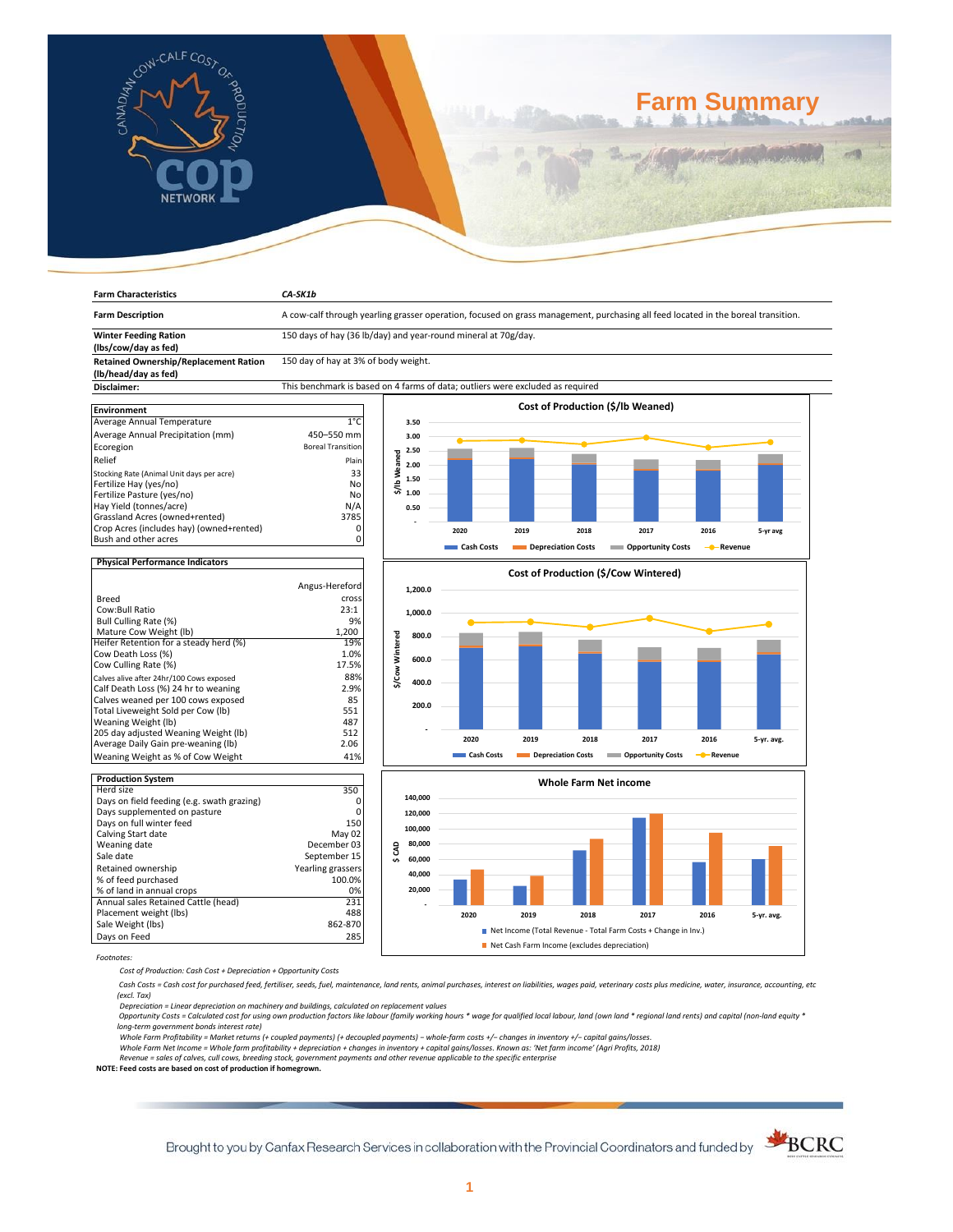

**Farm Characteristics** *CA-SK1b*

# **Farm Summary**

| <b>Farm Description</b>                                  | A cow-calf through yearling grasser operation, focused on grass management, purchasing all feed located in the boreal transition. |                 |         |            |      |                              |                                      |                                     |            |
|----------------------------------------------------------|-----------------------------------------------------------------------------------------------------------------------------------|-----------------|---------|------------|------|------------------------------|--------------------------------------|-------------------------------------|------------|
| <b>Winter Feeding Ration</b>                             | 150 days of hay (36 lb/day) and year-round mineral at 70g/day.                                                                    |                 |         |            |      |                              |                                      |                                     |            |
| (lbs/cow/day as fed)                                     |                                                                                                                                   |                 |         |            |      |                              |                                      |                                     |            |
| <b>Retained Ownership/Replacement Ration</b>             | 150 day of hay at 3% of body weight.                                                                                              |                 |         |            |      |                              |                                      |                                     |            |
| (lb/head/day as fed)                                     |                                                                                                                                   |                 |         |            |      |                              |                                      |                                     |            |
| Disclaimer:                                              | This benchmark is based on 4 farms of data; outliers were excluded as required                                                    |                 |         |            |      |                              |                                      |                                     |            |
|                                                          |                                                                                                                                   |                 |         |            |      |                              | Cost of Production (\$/Ib Weaned)    |                                     |            |
| <b>Environment</b>                                       |                                                                                                                                   |                 |         |            |      |                              |                                      |                                     |            |
| Average Annual Temperature                               | $1^{\circ}$ C                                                                                                                     |                 | 3.50    |            |      |                              |                                      |                                     |            |
| Average Annual Precipitation (mm)                        | 450-550 mm                                                                                                                        |                 | 3.00    |            |      |                              |                                      |                                     |            |
| Ecoregion                                                | <b>Boreal Transition</b>                                                                                                          |                 | 2.50    |            |      |                              |                                      |                                     |            |
| Relief                                                   | Plain                                                                                                                             | \$/lb Weaned    | 2.00    |            |      |                              |                                      |                                     |            |
| Stocking Rate (Animal Unit days per acre)                | 33                                                                                                                                |                 |         |            |      |                              |                                      |                                     |            |
| Fertilize Hay (yes/no)                                   | No                                                                                                                                |                 | 1.50    |            |      |                              |                                      |                                     |            |
| Fertilize Pasture (yes/no)                               | No                                                                                                                                |                 | 1.00    |            |      |                              |                                      |                                     |            |
| Hay Yield (tonnes/acre)                                  | N/A                                                                                                                               |                 | 0.50    |            |      |                              |                                      |                                     |            |
| Grassland Acres (owned+rented)                           | 3785                                                                                                                              |                 |         |            |      |                              |                                      |                                     |            |
| Crop Acres (includes hay) (owned+rented)                 | 0                                                                                                                                 |                 |         | 2020       | 2019 | 2018                         | 2017                                 | 2016                                | 5-yr avg   |
| Bush and other acres                                     | 0                                                                                                                                 |                 |         |            |      |                              |                                      |                                     |            |
|                                                          |                                                                                                                                   |                 |         | Cash Costs |      | Depreciation Costs           | <b>Opportunity Costs</b>             | Revenue<br>$\overline{\phantom{a}}$ |            |
| <b>Physical Performance Indicators</b>                   |                                                                                                                                   |                 |         |            |      |                              |                                      |                                     |            |
|                                                          |                                                                                                                                   |                 |         |            |      |                              | Cost of Production (\$/Cow Wintered) |                                     |            |
|                                                          | Angus-Hereford                                                                                                                    |                 | 1,200.0 |            |      |                              |                                      |                                     |            |
| <b>Breed</b>                                             | cross                                                                                                                             |                 |         |            |      |                              |                                      |                                     |            |
| Cow:Bull Ratio                                           | 23:1                                                                                                                              |                 | 1,000.0 |            |      |                              |                                      |                                     |            |
| <b>Bull Culling Rate (%)</b>                             | 9%                                                                                                                                |                 |         |            |      |                              |                                      |                                     |            |
| Mature Cow Weight (lb)                                   | 1,200                                                                                                                             |                 | 800.0   |            |      |                              |                                      |                                     |            |
| Heifer Retention for a steady herd (%)                   | 19%                                                                                                                               |                 |         |            |      |                              |                                      |                                     |            |
| Cow Death Loss (%)                                       | 1.0%                                                                                                                              |                 |         |            |      |                              |                                      |                                     |            |
| Cow Culling Rate (%)                                     | 17.5%                                                                                                                             | \$/Cow Wintered | 600.0   |            |      |                              |                                      |                                     |            |
| Calves alive after 24hr/100 Cows exposed                 | 88%                                                                                                                               |                 |         |            |      |                              |                                      |                                     |            |
| Calf Death Loss (%) 24 hr to weaning                     | 2.9%                                                                                                                              |                 | 400.0   |            |      |                              |                                      |                                     |            |
| Calves weaned per 100 cows exposed                       | 85                                                                                                                                |                 |         |            |      |                              |                                      |                                     |            |
| Total Liveweight Sold per Cow (lb)                       | 551                                                                                                                               |                 | 200.0   |            |      |                              |                                      |                                     |            |
| Weaning Weight (lb)                                      | 487                                                                                                                               |                 |         |            |      |                              |                                      |                                     |            |
| 205 day adjusted Weaning Weight (lb)                     | 512                                                                                                                               |                 |         |            |      |                              |                                      |                                     |            |
| Average Daily Gain pre-weaning (lb)                      | 2.06                                                                                                                              |                 |         | 2020       | 2019 | 2018                         | 2017                                 | 2016                                | 5-yr. avg. |
| Weaning Weight as % of Cow Weight                        | 41%                                                                                                                               |                 |         | Cash Costs |      | Depreciation Costs           | <b>Opportunity Costs</b>             | - <sup></sup> Revenue               |            |
|                                                          |                                                                                                                                   |                 |         |            |      |                              |                                      |                                     |            |
| <b>Production System</b>                                 |                                                                                                                                   |                 |         |            |      | <b>Whole Farm Net income</b> |                                      |                                     |            |
| Herd size                                                | 350<br>$\Omega$                                                                                                                   |                 | 140,000 |            |      |                              |                                      |                                     |            |
| Days on field feeding (e.g. swath grazing)               | 0                                                                                                                                 |                 |         |            |      |                              |                                      |                                     |            |
| Days supplemented on pasture<br>Days on full winter feed | 150                                                                                                                               |                 | 120,000 |            |      |                              |                                      |                                     |            |
|                                                          | May 02                                                                                                                            |                 | 100,000 |            |      |                              |                                      |                                     |            |
| Calving Start date<br>Weaning date                       | December 03                                                                                                                       |                 | 80,000  |            |      |                              |                                      |                                     |            |
| Sale date                                                | September 15                                                                                                                      | \$CAD           |         |            |      |                              |                                      |                                     |            |
|                                                          |                                                                                                                                   |                 | 60,000  |            |      |                              |                                      |                                     |            |
| Retained ownership                                       | Yearling grassers                                                                                                                 |                 | 40,000  |            |      |                              |                                      |                                     |            |
| % of feed purchased                                      | 100.0%                                                                                                                            |                 | 20,000  |            |      |                              |                                      |                                     |            |
| % of land in annual crops                                | 0%<br>231                                                                                                                         |                 |         |            |      |                              |                                      |                                     |            |
| Annual sales Retained Cattle (head)                      |                                                                                                                                   |                 |         |            |      |                              |                                      |                                     |            |
| Placement weight (lbs)                                   | 488                                                                                                                               |                 |         | 2020       | 2019 | 2018                         | 2017                                 | 2016                                | 5-yr. avg. |

Days on Feed *Footnotes:*

*Cost of Production: Cash Cost + Depreciation + Opportunity Costs*

Sale Weight (lbs) 862-870<br>
Days on Feed 285

 *Cash Costs = Cash cost for purchased feed, fertiliser, seeds, fuel, maintenance, land rents, animal purchases, interest on liabilities, wages paid, veterinary costs plus medicine, water, insurance, accounting, etc (excl. Tax)* 

**2020 2019 2018 2017 2016 5-yr. avg.**

■ Net Income (Total Revenue - Total Farm Costs + Change in Inv.) Net Cash Farm Income (excludes depreciation)

Depreciation = Linear depreciation on machinery and buildings, calculated on replacement values<br>Opportunity Costs = Calculated cost for using own production factors like labour (family working hours \* wage for qualified lo *long-term government bonds interest rate)* 

Whole Farm Profitability = Market returns (+ coupled payments) (+ decoupled payments) – whole-farm costs +/– changes in inventory +/– capital gains/losses.<br>Whole Farm Net Income = Whole farm profitability + depreciation +

*Revenue = sales of calves, cull cows, breeding stock, government payments and other revenue applicable to the specific enterprise* **NOTE: Feed costs are based on cost of production if homegrown.**

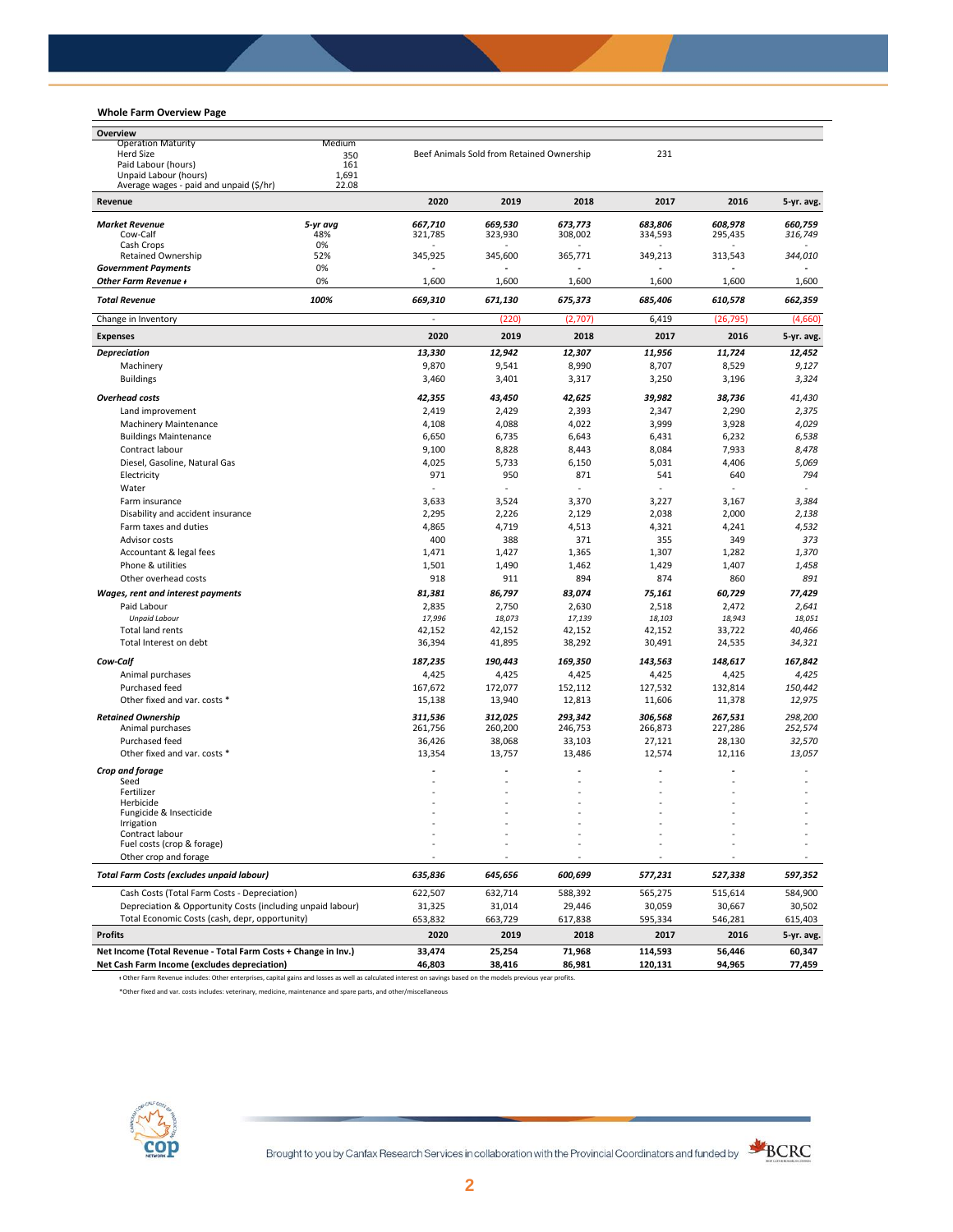## **Whole Farm Overview Page**

| Overview                                                                                                                                                        |              |         |                                           |              |         |           |            |
|-----------------------------------------------------------------------------------------------------------------------------------------------------------------|--------------|---------|-------------------------------------------|--------------|---------|-----------|------------|
| <b>Operation Maturity</b>                                                                                                                                       | Medium       |         |                                           |              |         |           |            |
| Herd Size                                                                                                                                                       | 350          |         | Beef Animals Sold from Retained Ownership |              | 231     |           |            |
| Paid Labour (hours)<br>Unpaid Labour (hours)                                                                                                                    | 161<br>1,691 |         |                                           |              |         |           |            |
| Average wages - paid and unpaid (\$/hr)                                                                                                                         | 22.08        |         |                                           |              |         |           |            |
| Revenue                                                                                                                                                         |              | 2020    | 2019                                      | 2018         | 2017    | 2016      | 5-yr. avg. |
| <b>Market Revenue</b>                                                                                                                                           | 5-yr avg     | 667,710 | 669,530                                   | 673,773      | 683.806 | 608,978   | 660,759    |
| Cow-Calf                                                                                                                                                        | 48%          | 321,785 | 323,930                                   | 308,002      | 334,593 | 295,435   | 316,749    |
| Cash Crops                                                                                                                                                      | 0%           |         |                                           |              |         |           |            |
| <b>Retained Ownership</b>                                                                                                                                       | 52%<br>0%    | 345,925 | 345,600                                   | 365,771      | 349,213 | 313,543   | 344,010    |
| <b>Government Payments</b><br>Other Farm Revenue +                                                                                                              | 0%           | 1,600   | 1,600                                     | 1,600        | 1,600   | 1,600     | 1,600      |
| <b>Total Revenue</b>                                                                                                                                            | 100%         | 669,310 | 671,130                                   | 675,373      | 685,406 | 610,578   | 662,359    |
| Change in Inventory                                                                                                                                             |              | ä,      | (220)                                     | (2,707)      | 6,419   | (26, 795) | (4,660)    |
| <b>Expenses</b>                                                                                                                                                 |              | 2020    | 2019                                      | 2018         | 2017    | 2016      | 5-yr. avg. |
| <b>Depreciation</b>                                                                                                                                             |              | 13,330  | 12,942                                    | 12,307       | 11,956  | 11,724    | 12,452     |
| Machinery                                                                                                                                                       |              | 9,870   | 9,541                                     | 8,990        | 8,707   | 8,529     | 9,127      |
| <b>Buildings</b>                                                                                                                                                |              | 3,460   | 3,401                                     | 3,317        | 3,250   | 3,196     | 3,324      |
| <b>Overhead costs</b>                                                                                                                                           |              | 42,355  | 43,450                                    | 42,625       | 39,982  | 38,736    | 41,430     |
| Land improvement                                                                                                                                                |              | 2,419   | 2,429                                     | 2,393        | 2,347   | 2,290     | 2,375      |
| <b>Machinery Maintenance</b>                                                                                                                                    |              | 4,108   | 4,088                                     | 4,022        | 3,999   | 3,928     | 4,029      |
| <b>Buildings Maintenance</b>                                                                                                                                    |              | 6,650   | 6,735                                     | 6,643        | 6,431   | 6,232     | 6,538      |
| Contract labour                                                                                                                                                 |              | 9,100   | 8,828                                     | 8,443        | 8,084   | 7,933     | 8,478      |
| Diesel, Gasoline, Natural Gas                                                                                                                                   |              | 4,025   | 5,733                                     | 6,150        | 5,031   | 4,406     | 5,069      |
| Electricity                                                                                                                                                     |              | 971     | 950                                       | 871          | 541     | 640       | 794        |
| Water                                                                                                                                                           |              | ä,      | ä,                                        | $\mathbf{r}$ |         |           |            |
| Farm insurance                                                                                                                                                  |              | 3,633   | 3,524                                     | 3,370        | 3,227   | 3,167     | 3,384      |
| Disability and accident insurance                                                                                                                               |              | 2,295   | 2,226                                     | 2,129        | 2,038   | 2,000     | 2,138      |
| Farm taxes and duties                                                                                                                                           |              | 4,865   | 4,719                                     | 4,513        | 4,321   | 4,241     | 4,532      |
| Advisor costs                                                                                                                                                   |              | 400     | 388                                       | 371          | 355     | 349       | 373        |
| Accountant & legal fees                                                                                                                                         |              | 1,471   | 1,427                                     | 1,365        | 1,307   | 1,282     | 1,370      |
| Phone & utilities                                                                                                                                               |              | 1,501   | 1,490                                     | 1,462        | 1,429   | 1,407     | 1,458      |
| Other overhead costs                                                                                                                                            |              | 918     | 911                                       | 894          | 874     | 860       | 891        |
| Wages, rent and interest payments                                                                                                                               |              | 81,381  | 86,797                                    | 83,074       | 75,161  | 60,729    | 77,429     |
| Paid Labour                                                                                                                                                     |              | 2,835   | 2,750                                     | 2,630        | 2,518   | 2,472     | 2,641      |
| <b>Unpaid Labour</b>                                                                                                                                            |              | 17,996  | 18,073                                    | 17,139       | 18,103  | 18,943    | 18,051     |
| Total land rents                                                                                                                                                |              | 42,152  | 42,152                                    | 42,152       | 42,152  | 33,722    | 40,466     |
| Total Interest on debt                                                                                                                                          |              | 36,394  | 41,895                                    | 38,292       | 30,491  | 24,535    | 34,321     |
| Cow-Calf                                                                                                                                                        |              | 187,235 | 190,443                                   | 169,350      | 143,563 | 148,617   | 167,842    |
| Animal purchases                                                                                                                                                |              | 4,425   | 4,425                                     | 4,425        | 4,425   | 4,425     | 4,425      |
| Purchased feed                                                                                                                                                  |              | 167,672 | 172,077                                   | 152,112      | 127,532 | 132,814   | 150,442    |
| Other fixed and var. costs *                                                                                                                                    |              | 15,138  | 13,940                                    | 12,813       | 11,606  | 11,378    | 12,975     |
| <b>Retained Ownership</b>                                                                                                                                       |              | 311,536 | 312,025                                   | 293,342      | 306,568 | 267,531   | 298,200    |
| Animal purchases                                                                                                                                                |              | 261,756 | 260,200                                   | 246,753      | 266,873 | 227,286   | 252,574    |
| Purchased feed                                                                                                                                                  |              | 36,426  | 38,068                                    | 33.103       | 27,121  | 28,130    | 32,570     |
| Other fixed and var. costs *                                                                                                                                    |              | 13,354  | 13,757                                    | 13,486       | 12,574  | 12,116    | 13,057     |
| Crop and forage                                                                                                                                                 |              |         |                                           |              |         |           |            |
| Seed                                                                                                                                                            |              |         |                                           |              |         |           |            |
| Fertilizer<br>Herbicide                                                                                                                                         |              |         |                                           |              |         |           |            |
| Fungicide & Insecticide                                                                                                                                         |              |         |                                           |              |         |           |            |
| Irrigation                                                                                                                                                      |              |         |                                           |              |         |           |            |
| Contract labour                                                                                                                                                 |              |         |                                           |              |         |           |            |
| Fuel costs (crop & forage)                                                                                                                                      |              |         |                                           |              |         |           |            |
| Other crop and forage                                                                                                                                           |              |         |                                           |              |         |           |            |
| <b>Total Farm Costs (excludes unpaid labour)</b>                                                                                                                |              | 635,836 | 645,656                                   | 600,699      | 577,231 | 527,338   | 597,352    |
| Cash Costs (Total Farm Costs - Depreciation)                                                                                                                    |              | 622,507 | 632,714                                   | 588,392      | 565,275 | 515,614   | 584,900    |
| Depreciation & Opportunity Costs (including unpaid labour)                                                                                                      |              | 31,325  | 31,014                                    | 29,446       | 30,059  | 30,667    | 30,502     |
| Total Economic Costs (cash, depr, opportunity)                                                                                                                  |              | 653,832 | 663,729                                   | 617,838      | 595,334 | 546,281   | 615,403    |
| <b>Profits</b>                                                                                                                                                  |              | 2020    | 2019                                      | 2018         | 2017    | 2016      | 5-yr. avg. |
| Net Income (Total Revenue - Total Farm Costs + Change in Inv.)                                                                                                  |              | 33,474  | 25,254                                    | 71,968       | 114,593 | 56,446    | 60,347     |
| Net Cash Farm Income (excludes depreciation)                                                                                                                    |              | 46,803  | 38,416                                    | 86,981       | 120,131 | 94,965    | 77,459     |
| + Other Farm Revenue includes: Other enterprises, capital gains and losses as well as calculated interest on savings based on the models previous year profits. |              |         |                                           |              |         |           |            |

\*Other fixed and var. costs includes: veterinary, medicine, maintenance and spare parts, and other/miscellaneous



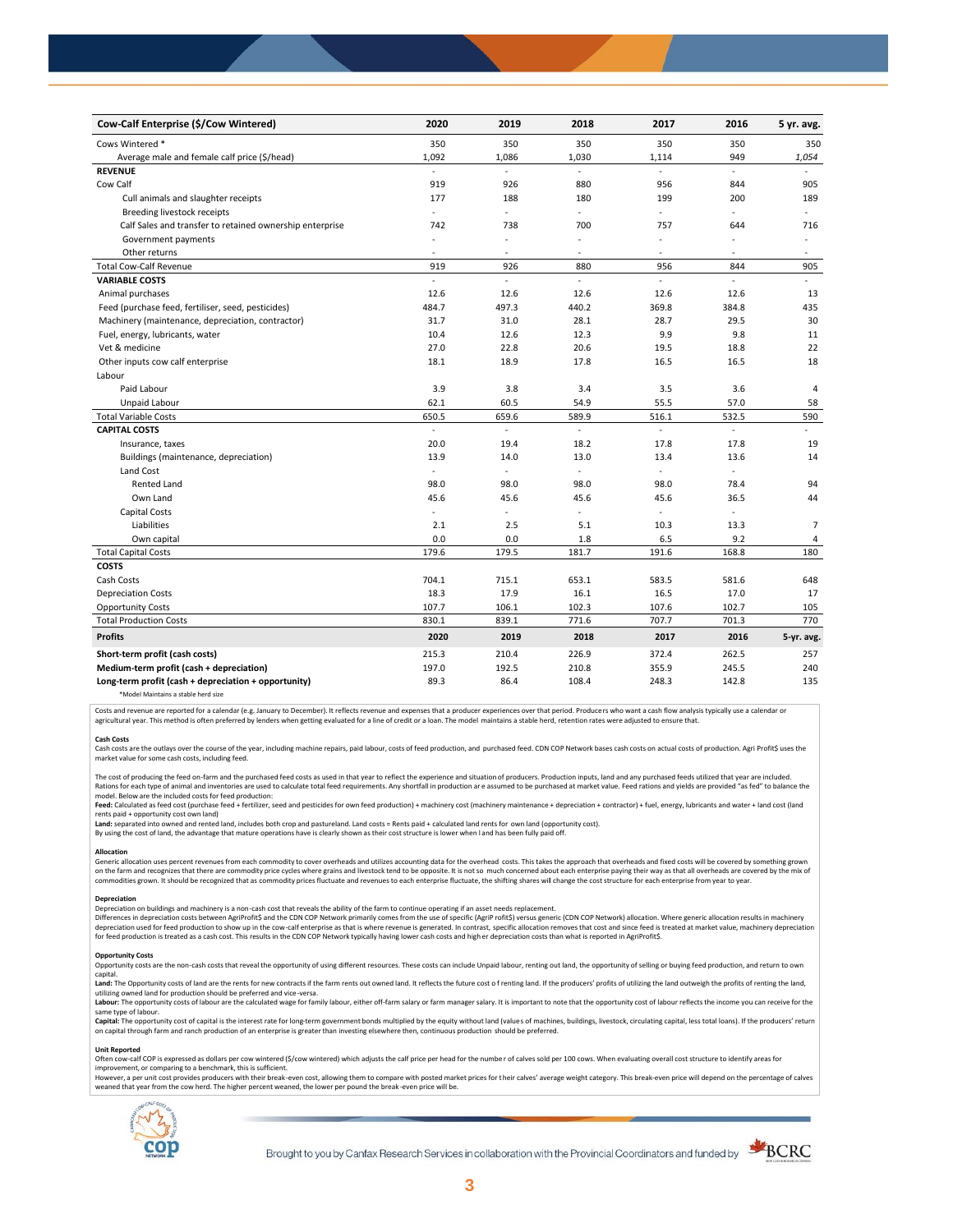| Cow-Calf Enterprise (\$/Cow Wintered)                    | 2020                     | 2019                     | 2018           | 2017      | 2016                | 5 yr. avg.     |
|----------------------------------------------------------|--------------------------|--------------------------|----------------|-----------|---------------------|----------------|
| Cows Wintered *                                          | 350                      | 350                      | 350            | 350       | 350                 | 350            |
| Average male and female calf price (\$/head)             | 1,092                    | 1,086                    | 1,030          | 1,114     | 949                 | 1,054          |
| <b>REVENUE</b>                                           |                          | ÷                        |                |           | ÷                   |                |
| Cow Calf                                                 | 919                      | 926                      | 880            | 956       | 844                 | 905            |
| Cull animals and slaughter receipts                      | 177                      | 188                      | 180            | 199       | 200                 | 189            |
| Breeding livestock receipts                              | $\omega$                 | ÷                        | ÷.             | ä,        | ÷,                  | $\sim$         |
| Calf Sales and transfer to retained ownership enterprise | 742                      | 738                      | 700            | 757       | 644                 | 716            |
| Government payments                                      |                          | ÷,                       | L,             | ÷,        |                     |                |
| Other returns                                            |                          | ÷,                       | ٠              | $\bar{a}$ | ٠                   |                |
| <b>Total Cow-Calf Revenue</b>                            | 919                      | 926                      | 880            | 956       | 844                 | 905            |
| <b>VARIABLE COSTS</b>                                    | ÷,                       | ÷                        | ÷.             | ÷         |                     | ÷              |
| Animal purchases                                         | 12.6                     | 12.6                     | 12.6           | 12.6      | 12.6                | 13             |
| Feed (purchase feed, fertiliser, seed, pesticides)       | 484.7                    | 497.3                    | 440.2          | 369.8     | 384.8               | 435            |
| Machinery (maintenance, depreciation, contractor)        | 31.7                     | 31.0                     | 28.1           | 28.7      | 29.5                | 30             |
| Fuel, energy, lubricants, water                          | 10.4                     | 12.6                     | 12.3           | 9.9       | 9.8                 | 11             |
| Vet & medicine                                           | 27.0                     | 22.8                     | 20.6           | 19.5      | 18.8                | 22             |
| Other inputs cow calf enterprise                         | 18.1                     | 18.9                     | 17.8           | 16.5      | 16.5                | 18             |
| Labour                                                   |                          |                          |                |           |                     |                |
| Paid Labour                                              | 3.9                      | 3.8                      | 3.4            | 3.5       | 3.6                 | 4              |
| Unpaid Labour                                            | 62.1                     | 60.5                     | 54.9           | 55.5      | 57.0                | 58             |
| <b>Total Variable Costs</b>                              | 650.5                    | 659.6                    | 589.9          | 516.1     | 532.5               | 590            |
| <b>CAPITAL COSTS</b>                                     | ä,                       | $\overline{\phantom{a}}$ | ÷.             | ä,        | $\bar{\phantom{a}}$ | ÷.             |
| Insurance, taxes                                         | 20.0                     | 19.4                     | 18.2           | 17.8      | 17.8                | 19             |
| Buildings (maintenance, depreciation)                    | 13.9                     | 14.0                     | 13.0           | 13.4      | 13.6                | 14             |
| Land Cost                                                | ä,                       | ä,                       | ÷.             | ä,        | ÷.                  |                |
| <b>Rented Land</b>                                       | 98.0                     | 98.0                     | 98.0           | 98.0      | 78.4                | 94             |
| Own Land                                                 | 45.6                     | 45.6                     | 45.6           | 45.6      | 36.5                | 44             |
| <b>Capital Costs</b>                                     | $\overline{\phantom{a}}$ | ٠                        | $\overline{a}$ | $\sim$    | $\overline{a}$      |                |
| Liabilities                                              | 2.1                      | 2.5                      | 5.1            | 10.3      | 13.3                | $\overline{7}$ |
| Own capital                                              | 0.0                      | 0.0                      | 1.8            | 6.5       | 9.2                 | 4              |
| <b>Total Capital Costs</b>                               | 179.6                    | 179.5                    | 181.7          | 191.6     | 168.8               | 180            |
| <b>COSTS</b>                                             |                          |                          |                |           |                     |                |
| Cash Costs                                               | 704.1                    | 715.1                    | 653.1          | 583.5     | 581.6               | 648            |
| <b>Depreciation Costs</b>                                | 18.3                     | 17.9                     | 16.1           | 16.5      | 17.0                | 17             |
| <b>Opportunity Costs</b>                                 | 107.7                    | 106.1                    | 102.3          | 107.6     | 102.7               | 105            |
| <b>Total Production Costs</b>                            | 830.1                    | 839.1                    | 771.6          | 707.7     | 701.3               | 770            |
| <b>Profits</b>                                           | 2020                     | 2019                     | 2018           | 2017      | 2016                | 5-yr. avg.     |
| Short-term profit (cash costs)                           | 215.3                    | 210.4                    | 226.9          | 372.4     | 262.5               | 257            |
| Medium-term profit (cash + depreciation)                 | 197.0                    | 192.5                    | 210.8          | 355.9     | 245.5               | 240            |
| Long-term profit (cash + depreciation + opportunity)     | 89.3                     | 86.4                     | 108.4          | 248.3     | 142.8               | 135            |
| *Model Maintains a stable herd size                      |                          |                          |                |           |                     |                |

Costs and revenue are reported for a calendar (e.g. January to December). It reflects revenue and expenses that a producer experiences over that period. Producers who want a cash flow analysis typically use a calendar or agricultural year. This method is often preferred by lenders when getting evaluated for a line of credit or a loan. The model maintains a stable herd, retention rates were adjusted to ensure that

C<mark>ash Costs</mark><br>Cash costs are the outlays over the course of the year, including machine repairs, paid labour, costs of feed production, and purchased feed. CDN COP Network bases cash costs on actual costs of production. Agr market value for some cash costs, including feed.

The cost of producing the feed on-farm and the purchased feed costs as used in that year to reflect the experience and situation of producers. Production inputs, land and any purchased feeds utilized that year are included model. Below are the included costs for feed production:

#### moder.outwhat was made used to receip would continuour.<br>**Feed:** Calculated as feed cost (purchase feed + fertilizer, seed and pesticides for own feed production) + machinery cost (machinery maintenance + depreciation + con rents paid + opportunity cost own land)

**Land:** separated into owned and rented land, includes both crop and pastureland. Land costs = Rents paid + calculated land rents for own land (opportunity cost).

By using the cost of land, the advantage that mature operations have is clearly shown as their cost structure is lower when l and has been fully paid off.

#### **Allocation**

Generic allocation uses percent revenues from each commodity to cover overheads and utilizes accounting data for the overhead costs. This takes the approach that overheads and fixed costs will be covered by something grown commodities grown. It should be recognized that as commodity prices fluctuate and revenues to each enterprise fluctuate, the shifting shares will change the cost structure for each enterprise from year to year.

## **Depreciation**

Depreciation on buildings and machinery is a non-cash cost that reveals the ability of the farm to continue operating if an asset needs replacement. Differences in depreciation costs between AgriProfit\$ and the CDN COP Network primarily comes from the use of specific (AgriP rofit\$) versus generic (CDN COP Network) allocation. Where generic allocation results in machine

### **Opportunity Costs**

Provincing COSS are the non-cash costs that reveal the opportunity of using different resources. These costs can include Unpaid labour, renting out land, the opportunity of selling or buying feed production, and return to capital.

required.<br>Land: The Opportunity costs of land are the rents for new contracts if the farm rents out owned land. It reflects the future cost of renting land. If the producers' profits of utilizing the land outweigh the prof utilizing owned land for production should be preferred and vice-versa.<br>**Labour:** The opportunity costs of labour are the calculated wage for family labour, either off-farm salary or farm manager salary. It is important to

same type of labour.

**Capita**l: The opportunity cost of capital is the interest rate for long-term government bonds multiplied by the equity without land (values of machines, buildings, livestock, circulating capital, less total loans). If the

#### **Unit Reported**

Often cow-calf COP is expressed as dollars per cow wintered (\$/cow wintered) which adjusts the calf price per head for the number of calves sold per 100 cows. When evaluating overall cost structure to identify areas for<br>im

however..export of the structure with the structure of the break-even cost. allowing them to compare with posted market prices for their calves' average weight category. This break-even price will depend on the percentage weaned that year from the cow herd. The higher percent weaned, the lower per pound the break -even price will be.



Brought to you by Canfax Research Services in collaboration with the Provincial Coordinators and funded by

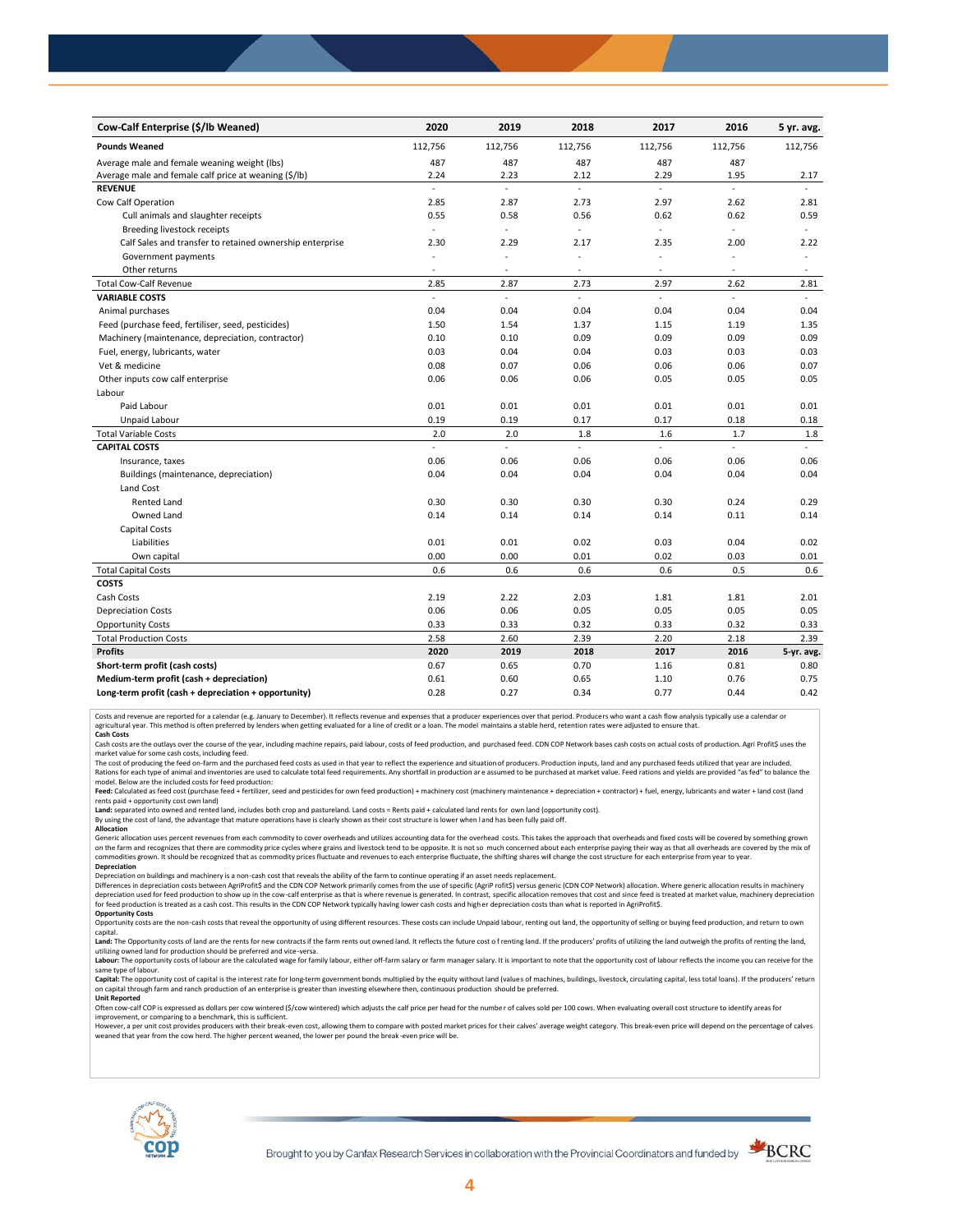| Cow-Calf Enterprise (\$/lb Weaned)                       | 2020                     | 2019    | 2018                | 2017          | 2016                     | 5 yr. avg.     |
|----------------------------------------------------------|--------------------------|---------|---------------------|---------------|--------------------------|----------------|
| <b>Pounds Weaned</b>                                     | 112,756                  | 112,756 | 112,756             | 112,756       | 112,756                  | 112,756        |
| Average male and female weaning weight (lbs)             | 487                      | 487     | 487                 | 487           | 487                      |                |
| Average male and female calf price at weaning (\$/lb)    | 2.24                     | 2.23    | 2.12                | 2.29          | 1.95                     | 2.17           |
| <b>REVENUE</b>                                           | ä,                       | ä,      | ä,                  | $\mathcal{L}$ | $\mathcal{L}$            |                |
| Cow Calf Operation                                       | 2.85                     | 2.87    | 2.73                | 2.97          | 2.62                     | 2.81           |
| Cull animals and slaughter receipts                      | 0.55                     | 0.58    | 0.56                | 0.62          | 0.62                     | 0.59           |
| Breeding livestock receipts                              | $\bar{z}$                | ä,      | ä,                  | ä,            | ÷.                       | $\blacksquare$ |
| Calf Sales and transfer to retained ownership enterprise | 2.30                     | 2.29    | 2.17                | 2.35          | 2.00                     | 2.22           |
| Government payments                                      | ÷.                       | ÷,      | L,                  | ä,            |                          | ÷.             |
| Other returns                                            | $\sim$                   | ٠       | $\sim$              | $\sim$        | $\sim$                   | $\sim$         |
| <b>Total Cow-Calf Revenue</b>                            | 2.85                     | 2.87    | 2.73                | 2.97          | 2.62                     | 2.81           |
| <b>VARIABLE COSTS</b>                                    | $\overline{\phantom{a}}$ | ä,      | $\bar{\phantom{a}}$ | L.            | $\sim$                   | $\sim$         |
| Animal purchases                                         | 0.04                     | 0.04    | 0.04                | 0.04          | 0.04                     | 0.04           |
| Feed (purchase feed, fertiliser, seed, pesticides)       | 1.50                     | 1.54    | 1.37                | 1.15          | 1.19                     | 1.35           |
| Machinery (maintenance, depreciation, contractor)        | 0.10                     | 0.10    | 0.09                | 0.09          | 0.09                     | 0.09           |
| Fuel, energy, lubricants, water                          | 0.03                     | 0.04    | 0.04                | 0.03          | 0.03                     | 0.03           |
| Vet & medicine                                           | 0.08                     | 0.07    | 0.06                | 0.06          | 0.06                     | 0.07           |
| Other inputs cow calf enterprise                         | 0.06                     | 0.06    | 0.06                | 0.05          | 0.05                     | 0.05           |
| Labour                                                   |                          |         |                     |               |                          |                |
| Paid Labour                                              | 0.01                     | 0.01    | 0.01                | 0.01          | 0.01                     | 0.01           |
| Unpaid Labour                                            | 0.19                     | 0.19    | 0.17                | 0.17          | 0.18                     | 0.18           |
| <b>Total Variable Costs</b>                              | 2.0                      | 2.0     | 1.8                 | 1.6           | 1.7                      | 1.8            |
| <b>CAPITAL COSTS</b>                                     | $\overline{a}$           | L.      | $\bar{\phantom{a}}$ | L.            | $\overline{\phantom{a}}$ |                |
| Insurance, taxes                                         | 0.06                     | 0.06    | 0.06                | 0.06          | 0.06                     | 0.06           |
| Buildings (maintenance, depreciation)                    | 0.04                     | 0.04    | 0.04                | 0.04          | 0.04                     | 0.04           |
| Land Cost                                                |                          |         |                     |               |                          |                |
| <b>Rented Land</b>                                       | 0.30                     | 0.30    | 0.30                | 0.30          | 0.24                     | 0.29           |
| Owned Land                                               | 0.14                     | 0.14    | 0.14                | 0.14          | 0.11                     | 0.14           |
| Capital Costs                                            |                          |         |                     |               |                          |                |
| Liabilities                                              | 0.01                     | 0.01    | 0.02                | 0.03          | 0.04                     | 0.02           |
| Own capital                                              | 0.00                     | 0.00    | 0.01                | 0.02          | 0.03                     | 0.01           |
| <b>Total Capital Costs</b>                               | 0.6                      | 0.6     | 0.6                 | 0.6           | 0.5                      | 0.6            |
| <b>COSTS</b>                                             |                          |         |                     |               |                          |                |
| Cash Costs                                               | 2.19                     | 2.22    | 2.03                | 1.81          | 1.81                     | 2.01           |
| <b>Depreciation Costs</b>                                | 0.06                     | 0.06    | 0.05                | 0.05          | 0.05                     | 0.05           |
| <b>Opportunity Costs</b>                                 | 0.33                     | 0.33    | 0.32                | 0.33          | 0.32                     | 0.33           |
| <b>Total Production Costs</b>                            | 2.58                     | 2.60    | 2.39                | 2.20          | 2.18                     | 2.39           |
| <b>Profits</b>                                           | 2020                     | 2019    | 2018                | 2017          | 2016                     | 5-yr. avg.     |
| Short-term profit (cash costs)                           | 0.67                     | 0.65    | 0.70                | 1.16          | 0.81                     | 0.80           |
| Medium-term profit (cash + depreciation)                 | 0.61                     | 0.60    | 0.65                | 1.10          | 0.76                     | 0.75           |
| Long-term profit (cash + depreciation + opportunity)     | 0.28                     | 0.27    | 0.34                | 0.77          | 0.44                     | 0.42           |

Costs and revenue are reported for a calendar (e.g. January to December). It reflects revenue and expenses that a producer experiences over that period. Producers who want a cash flow analysis typically use a calendar or<br>a

cash costs are the outlays over the course of the year, including machine repairs, paid labour, costs of feed production, and purchased feed. CDN COP Network bases cash costs on actual costs of production. Agri Profit\$ use

market value for some cash costs, including feed.

The cost of producing the feed on-farm and the purchased feed costs as used in that year to reflect the experience and situation of producers. Production inputs, land and any purchased feeds utilized that year are included model. Below are the included costs for feed production:

Feed: Calculated as feed cost (purchase feed + fertilizer, seed and pesticides for own feed production) + machinery cost (machinery maintenance + depreciation + contractor) + fuel, energy, lubricants and water + land cost

Land: separated into owned and rented land, includes both crop and pastureland. Land costs = Rents paid + calculated land rents for own land (opportunity cost).

By using the cost of land, the advantage that mature operations have is clearly shown as their cost structure is lower when l and has been fully paid off. **Allocation**

Generic allocation uses percent revenues from each commodity to cover overheads and utilizes accounting data for the overhead costs. This takes the approach that overheads and fixed costs will be covered by something grown on the farm and recognizes that there are commodity price cycles where grains and livestock tend to be opposite. It is not so much concerned about each enterprise paying their way as that all overheads are covered by the m **Depreciation**

Depreciation on buildings and machinery is a non-cash cost that reveals the ability of the farm to continue operating if an asset needs replacement.

Differences in depreciation costs between AgriProfit\$ and the CDN COP Network primarily comes from the use of specific (AgriP rofit\$) versus generic (CDN COP Network) allocation. Where generic allocation results in machine

## **Opportunity Costs**

Opportunity costs are the non-cash costs that reveal the opportunity of using different resources. These costs can include Unpaid labour, renting out land, the opportunity of selling or buying feed production, and return t Land: The Opportunity costs of land are the rents for new contracts if the farm rents out owned land. It reflects the future cost of renting land. If the producers' profits of utilizing the land outweigh the profits of ren

utilizing owned land for production should be preferred and vice-versa.<br>**Labour:** The opportunity costs of labour are the calculated wage for family labour, either off-farm salary or farm manager salary. It is important to same type of labour.

Capital: The opportunity cost of capital is the interest rate for long-term government bonds multiplied by the equity without land (values of machines, buildings, livestock, circulating capital, less total loans). If the p on capital through farm and ranch production of an enterprise is greater than investing elsewhere then, continuous production should be preferred. **Unit Reported**

Often cow-calf COP is expressed as dollars per cow wintered (\$/cow wintered) which adjusts the calf price per head for the numbe r of calves sold per 100 cows. When evaluating overall cost structure to identify areas for

improvement, or comparing to a benchmark, this is sufficient.<br>However, a per unit cost provides producers with their break-even cost, allowing them to compare with posted market prices for their calves' average weight cate weaned that year from the cow herd. The higher percent weaned, the lower per pound the break -even price will be.



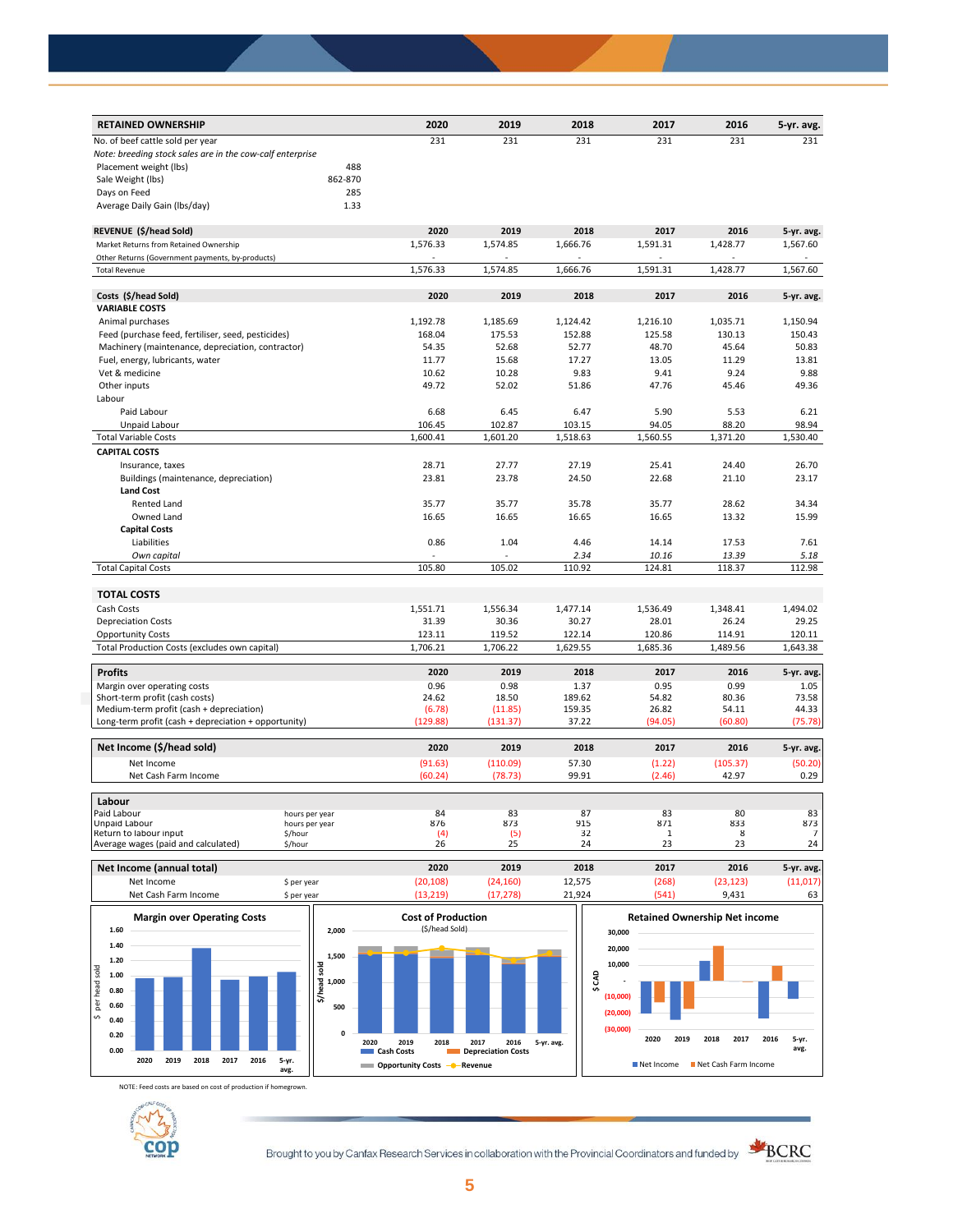| <b>RETAINED OWNERSHIP</b>                                 |         | 2020     | 2019     | 2018     | 2017         | 2016     | 5-yr. avg.     |
|-----------------------------------------------------------|---------|----------|----------|----------|--------------|----------|----------------|
| No. of beef cattle sold per year                          |         | 231      | 231      | 231      | 231          | 231      | 231            |
| Note: breeding stock sales are in the cow-calf enterprise |         |          |          |          |              |          |                |
| Placement weight (lbs)                                    | 488     |          |          |          |              |          |                |
| Sale Weight (lbs)                                         | 862-870 |          |          |          |              |          |                |
| Days on Feed                                              | 285     |          |          |          |              |          |                |
| Average Daily Gain (Ibs/day)                              | 1.33    |          |          |          |              |          |                |
| REVENUE (\$/head Sold)                                    |         | 2020     | 2019     | 2018     | 2017         | 2016     | 5-yr. avg.     |
| Market Returns from Retained Ownership                    |         | 1,576.33 | 1,574.85 | 1,666.76 | 1,591.31     | 1,428.77 | 1,567.60       |
| Other Returns (Government payments, by-products)          |         | ÷.       |          |          |              |          |                |
| <b>Total Revenue</b>                                      |         | 1,576.33 | 1,574.85 | 1,666.76 | 1,591.31     | 1,428.77 | 1,567.60       |
|                                                           |         |          |          |          |              |          |                |
| Costs (\$/head Sold)                                      |         | 2020     | 2019     | 2018     | 2017         | 2016     | 5-yr. avg.     |
| <b>VARIABLE COSTS</b>                                     |         |          |          |          |              |          |                |
| Animal purchases                                          |         | 1,192.78 | 1,185.69 | 1,124.42 | 1,216.10     | 1,035.71 | 1,150.94       |
| Feed (purchase feed, fertiliser, seed, pesticides)        |         | 168.04   | 175.53   | 152.88   | 125.58       | 130.13   | 150.43         |
| Machinery (maintenance, depreciation, contractor)         |         | 54.35    | 52.68    | 52.77    | 48.70        | 45.64    | 50.83          |
| Fuel, energy, lubricants, water                           |         | 11.77    | 15.68    | 17.27    | 13.05        | 11.29    | 13.81          |
| Vet & medicine                                            |         | 10.62    | 10.28    | 9.83     | 9.41         | 9.24     | 9.88           |
| Other inputs                                              |         | 49.72    | 52.02    | 51.86    | 47.76        | 45.46    | 49.36          |
| Labour                                                    |         |          |          |          |              |          |                |
| Paid Labour                                               |         | 6.68     | 6.45     | 6.47     | 5.90         | 5.53     | 6.21           |
| Unpaid Labour                                             |         | 106.45   | 102.87   | 103.15   | 94.05        | 88.20    | 98.94          |
| <b>Total Variable Costs</b>                               |         | 1,600.41 | 1,601.20 | 1,518.63 | 1,560.55     | 1,371.20 | 1,530.40       |
| <b>CAPITAL COSTS</b>                                      |         |          |          |          |              |          |                |
| Insurance, taxes                                          |         | 28.71    | 27.77    | 27.19    | 25.41        | 24.40    | 26.70          |
| Buildings (maintenance, depreciation)                     |         | 23.81    | 23.78    | 24.50    | 22.68        | 21.10    | 23.17          |
| <b>Land Cost</b>                                          |         |          |          |          |              |          |                |
| <b>Rented Land</b>                                        |         | 35.77    | 35.77    | 35.78    | 35.77        | 28.62    | 34.34          |
| Owned Land                                                |         | 16.65    | 16.65    | 16.65    | 16.65        | 13.32    | 15.99          |
| <b>Capital Costs</b>                                      |         |          |          |          |              |          |                |
| Liabilities                                               |         | 0.86     | 1.04     | 4.46     | 14.14        | 17.53    | 7.61           |
| Own capital                                               |         |          |          | 2.34     | 10.16        | 13.39    | 5.18           |
| <b>Total Capital Costs</b>                                |         | 105.80   | 105.02   | 110.92   | 124.81       | 118.37   | 112.98         |
|                                                           |         |          |          |          |              |          |                |
| <b>TOTAL COSTS</b>                                        |         |          |          |          |              |          |                |
| Cash Costs                                                |         | 1,551.71 | 1,556.34 | 1,477.14 | 1,536.49     | 1,348.41 | 1,494.02       |
| <b>Depreciation Costs</b>                                 |         | 31.39    | 30.36    | 30.27    | 28.01        | 26.24    | 29.25          |
| <b>Opportunity Costs</b>                                  |         | 123.11   | 119.52   | 122.14   | 120.86       | 114.91   | 120.11         |
| Total Production Costs (excludes own capital)             |         | 1,706.21 | 1,706.22 | 1,629.55 | 1,685.36     | 1,489.56 | 1,643.38       |
| <b>Profits</b>                                            |         | 2020     | 2019     | 2018     | 2017         | 2016     | 5-yr. avg.     |
| Margin over operating costs                               |         | 0.96     | 0.98     | 1.37     | 0.95         | 0.99     | 1.05           |
| Short-term profit (cash costs)                            |         | 24.62    | 18.50    | 189.62   | 54.82        | 80.36    | 73.58          |
| Medium-term profit (cash + depreciation)                  |         | (6.78)   | (11.85)  | 159.35   | 26.82        | 54.11    | 44.33          |
| Long-term profit (cash + depreciation + opportunity)      |         | (129.88) | (131.37) | 37.22    | (94.05)      | (60.80)  | (75.78)        |
| Net Income (\$/head sold)                                 |         | 2020     | 2019     | 2018     | 2017         | 2016     | 5-yr. avg.     |
| Net Income                                                |         | (91.63)  | (110.09) | 57.30    | (1.22)       | (105.37) | (50.20)        |
| Net Cash Farm Income                                      |         | (60.24)  | (78.73)  | 99.91    | (2.46)       | 42.97    | 0.29           |
|                                                           |         |          |          |          |              |          |                |
| Labour<br>Paid Labour                                     |         | 84       | 83       | 87       | 83           | 80       | 83             |
| hours per year<br>Unpaid Labour<br>hours per year         |         | 876      | 873      | 915      | 871          | 833      | 873            |
| Return to labour input<br>\$/hour                         |         | (4)      | (5)      | 32       | $\mathbf{1}$ | 8        | $\overline{7}$ |
| Average wages (paid and calculated)<br>\$/hour            |         | 26       | 25       | 24       | 23           | 23       | 24             |

**Net Income (annual total) 2020 2019 2018 2017 2016 5-yr. avg.** Net Income \$ per year (20,108) (24,160) 12,575 (268) (23,123) (11,017) Net Cash Farm Income \$ per year (13,219) (17,278) 21,924 (541) 9,431 63 **Retained Ownership Net income** 



NOTE: Feed costs are based on cost of production if homegrown.



Brought to you by Canfax Research Services in collaboration with the Provincial Coordinators and funded by



**avg.**